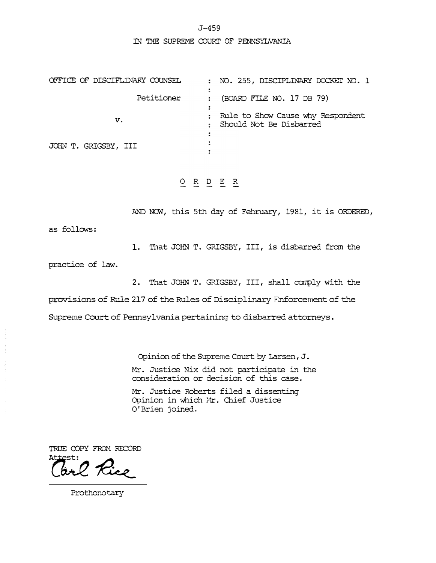J-459

m THE SUPREME COURI' OF PENNSYLVANIA

| OFFICE OF DISCIPLINARY COUNSEL | : NO. 255, DISCIPLINARY DOCKET NO. 1                           |
|--------------------------------|----------------------------------------------------------------|
| Petitioner                     | (BOARD FILE NO. 17 DB 79)                                      |
| v.                             | : Rule to Show Cause why Respondent<br>Should Not Be Disbarred |
|                                |                                                                |
| JOHN T. GRIGSBY, III           |                                                                |

**O R D E R** 

**AND NOW,** this 5th day of **February,** 1981, it is ORDERED,

as follows:

1. That JOHN T. GRIGSBY, **III,** is disbarred from the

practice of law.

2. That JOHN T. GRIGSBY, **III,** shall comply with the

provisions of Rule 217 of the Rules of Disciplinary Enforcement of the

Supreme Court of Pennsylvania pertaining to disbarred attorneys.

Opinion of the Supreme Court by Larsen, J.

Mr. Justice Nix did not participate in the consideration or decision of this case.

Mr. Justice Roberts filed a dissenting Opinion in which Mr. Chief Justice O'Brien joined.

TRUE COPY FROM RECORD  $Attest:$ 

Prothonotary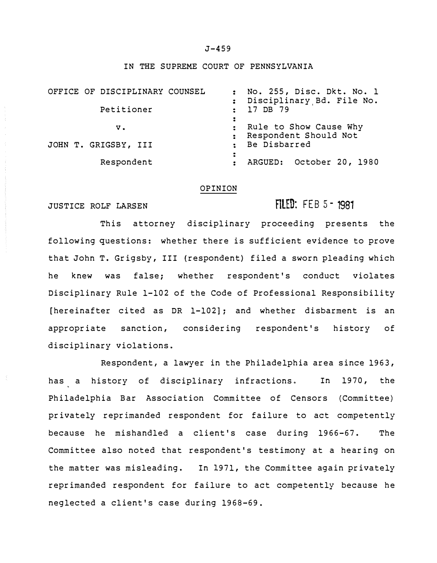### J-459

### IN THE SUPREME COURT OF PENNSYLVANIA

| OFFICE OF DISCIPLINARY COUNSEL<br>Petitioner | : No. 255, Disc. Dkt. No. 1<br>: Disciplinary Bd. File No.<br>: 17 DB 79 |
|----------------------------------------------|--------------------------------------------------------------------------|
| v.                                           | : Rule to Show Cause Why<br>: Respondent Should Not                      |
| JOHN T. GRIGSBY, III                         | : Be Disbarred                                                           |
| Respondent                                   | ARGUED: October 20, 1980                                                 |

#### OPINION

### JUSTICE ROLF LARSEN

# **RLED:** FEB 5 - 1981

This attorney disciplinary proceeding presents the following questions: whether there is sufficient evidence to prove that John T. Grigsby, III (respondent) filed a sworn pleading which he knew was false; whether respondent's conduct violates Disciplinary Rule 1-102 of the Code of Professional Responsibility [hereinafter cited as DR 1-102]; and whether disbarment is an appropriate sanction, considering respondent's history of disciplinary violations.

Respondent, a lawyer in the Philadelphia area since 1963, has a history of disciplinary infractions. In 1970, the Philadelphia Bar Association Committee of Censors (Committee) privately reprimanded respondent for failure to act competently because he mishandled a client's case during 1966-67. The Committee also noted that respondent's testimony at a hearing on the matter was misleading. In 1971, the Committee again privately reprimanded respondent for failure to act competently because he neglected a client's case during 1968-69.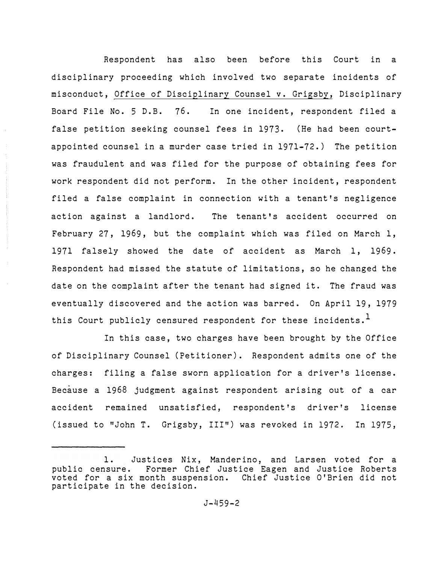Respondent has also been before this Court in a disciplinary proceeding which involved two separate incidents of misconduct, Office of Disciplinary Counsel v. Grigsby, Disciplinary Board File No. 5 D.B. 76. In one incident, respondent filed a false petition seeking counsel fees in 1973. (He had been courtappointed counsel in a murder case tried in 1971-72.) The petition was fraudulent and was filed for the purpose of obtaining fees for work respondent did not perform. In the other incident, respondent filed a false complaint in connection with a tenant's negligence action against a landlord. The tenant's accident occurred on February 27, 1969, but the complaint which was filed on March 1, 1971 falsely showed the date of accident as March 1, 1969. Respondent had missed the statute of limitations, so he changed the date on the complaint after the tenant had signed it. The fraud was eventually discovered and the action was barred. On April 19, 1979 this Court publicly censured respondent for these incidents.<sup>1</sup>

In this case, two charges have been brought by the Office of Disciplinary Counsel (Petitioner). Respondent admits one of the charges: filing a false sworn application for a driver's license. Because a 1968 judgment against respondent arising out of a car accident remained unsatisfied, respondent's driver's license (issued to "John T. Grigsby, III") was revoked in 1972. In 1975,

<sup>1.</sup> Justices Nix, Manderino, and Larsen voted for a<br>public censure. Former Chief Justice Eagen and Justice Roberts Former Chief Justice Eagen and Justice Roberts voted for a six month suspension. Chief Justice O'Brien did not participate in the decision.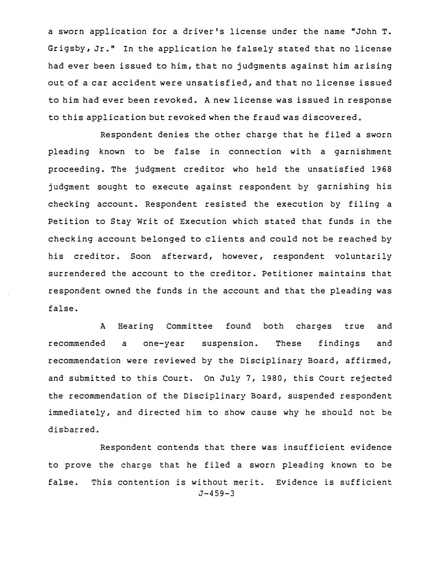a sworn application for a driver's license under the name "John T. Grigsby, Jr." In the application he falsely stated that no license had ever been issued to him, that no judgments against him arising out of a car accident were unsatisfied, and that no license issued to him had ever been revoked. A new license was issued in response to this application but revoked when the fraud was discovered.

Respondent denies the other charge that he filed a sworn pleading known to be false in connection with a garnishment proceeding. The judgment creditor who held the unsatisfied 1968 judgment sought to execute against respondent by garnishing his checking account. Respondent resisted the execution by filing a Petition to Stay Writ of Execution which stated that funds in the checking account belonged to clients and could not be reached by his creditor. Soon afterward, however, respondent voluntarily surrendered the account to the creditor. Petitioner maintains that respondent owned the funds in the account and that the pleading was false.

A Hearing Committee found both charges true and recommended a one-year suspension. These findings and recommendation were reviewed by the Disciplinary Board, affirmed, and submitted to this Court. On July 7, 1980, this Court rejected the recommendation of the Disciplinary Board, suspended respondent immediately, and directed him to show cause why he should not be disbarred.

Respondent contends that there was insufficient evidence to prove the charge that he filed a sworn pleading known to be false. This contention is without merit. Evidence is sufficient  $J-459-3$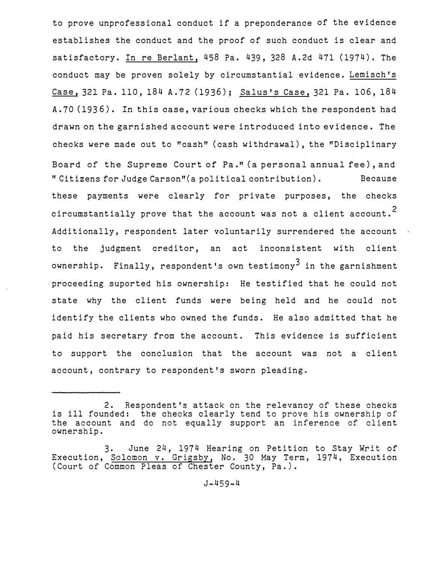to prove unprofessional conduct if a preponderance of the evidence establishes the conduct and the proof of such conduct is clear and satisfactory. In re Berlant, 458 Pa. 439, <sup>3</sup>28 A.2d 471 (1974). The conduct may be proven solely by circumstantial evidence. Lemisch's Case, <sup>3</sup>21 Pa. 110, 184 A.72 (1936); Salus's Case, <sup>3</sup>21 Pa. 106, 184 A.70 (1936). In this case, various checks which the respondent had drawn on the garnished account were introduced into evidence. The checks were made out to "cash" (cash withdrawal), the "Disciplinary Board of the Supreme Court of Pa." (a personal annual fee), and "Citizens for Judge Carson"(a political contribution). Because these payments were clearly for private purposes, the checks circumstantially prove that the account was not a client account.<sup>2</sup> Additionally, respondent later voluntarily surrendered the account to the judgment creditor, an act inconsistent with client ownership. Finally, respondent's own testimony<sup>3</sup> in the garnishment proceeding suported his ownership: He testified that he could not state why the client funds were being held and he could not identify the clients who owned the funds. He also admitted that he paid his secretary from the account. This evidence is sufficient to support the conclusion that the account was not a client account, contrary to respondent's sworn pleading.

<sup>2.</sup> Respondent's attack on the relevancy of these checks is ill founded: the checks clearly tend to prove his ownership of the account and do not equally support an inference of client ownership.

<sup>3</sup>. June 24, 1974 Hearing on Petition to Stay Writ of Execution, Solomon v. Grigsby, No. 30 May Term, 1974, Execution (Court of Common Pleas of Chester County, Pa.).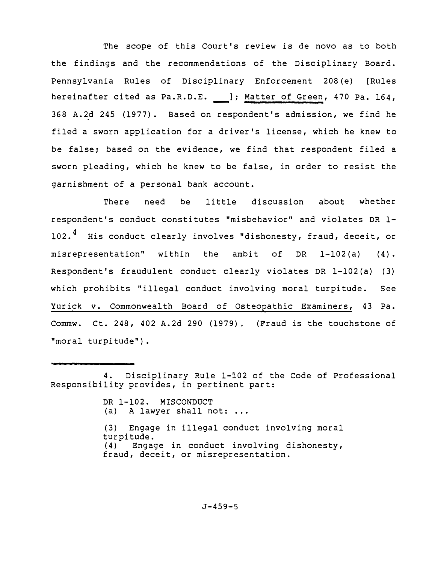The scope of this Court's review is de novo as to both the findings and the recommendations of the Disciplinary Board. Pennsylvania Rules of Disciplinary Enforcement 208(e) [Rules hereinafter cited as Pa.R.D.E. \_\_ ]; Matter of Green, 470 Pa. 164, 368 A.2d 245 (1977). Based on respondent's admission, we find he filed a sworn application for a driver's license, which he knew to be false; based on the evidence, we find that respondent filed a sworn pleading, which he knew to be false, in order to resist the garnishment of a personal bank account.

There need be little discussion about whether respondent's conduct constitutes "misbehavior" and violates DR 1- 102.<sup>4</sup> His conduct clearly involves "dishonesty, fraud, deceit, or misrepresentation" within the ambit of DR 1-102(a) (4). Respondent's fraudulent conduct clearly violates DR 1-102 (a) ( 3) which prohibits "illegal conduct involving moral turpitude. See Yurick v. Commonwealth Board of Osteopathic Examiners, 43 Pa. Commw. Ct. 248, 402 A.2d 290 (1979}. (Fraud is the touchstone of "moral turpitude").

DR 1-102. MISCONDUCT (a) A lawyer shall not: ... (3) Engage in illegal conduct involving moral turpitude.<br>(4) Engac Engage in conduct involving dishonesty, fraud, deceit, or misrepresentation.

<sup>4.</sup> Disciplinary Rule 1-102 of the Code of Professional Responsibility provides, in pertinent part: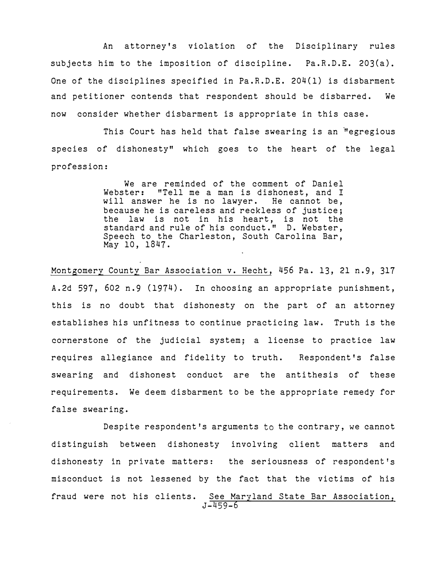An attorney's violation of the Disciplinary rules subjects him to the imposition of discipline. Pa.R.D.E. 203(a). One of the disciplines specified in Pa.R.D.E. 204(1) is disbarment and petitioner contends that respondent should be disbarred. We now consider whether disbarment is appropriate in this case.

This Court has held that false swearing is an "egregious species of dishonesty" which goes to the heart of the legal profession:

> We are reminded of the comment of Daniel Webster: "Tell me a man is dishonest, and I will answer he is no lawyer. He cannot be, because he is careless and reckless of justice; the law is not in his heart, is not the standard and rule of his conduct." D. Webster, Speech to the Charleston, South Carolina Bar, May 10, 1847.

Montgomery County Bar Association v. Hecht, 456 Pa. 13, 21 n.9, 317 A.2d 597, 602 n.9 (1974). In choosing an appropriate punishment, this is no doubt that dishonesty on the part of an attorney establishes his unfitness to continue practicing law. Truth is the cornerstone of the judicial system; a license to practice law requires allegiance and fidelity to truth. Respondent's false swearing and dishonest conduct are the antithesis of these requirements. We deem disbarment to be the appropriate remedy for false swearing.

Despite respondent's arguments to the contrary, we cannot distinguish between dishonesty involving client matters and dishonesty in private matters: the seriousness of respondent's misconduct is not lessened by the fact that the victims of his fraud were not his clients. See Maryland State Bar Association, J-459-6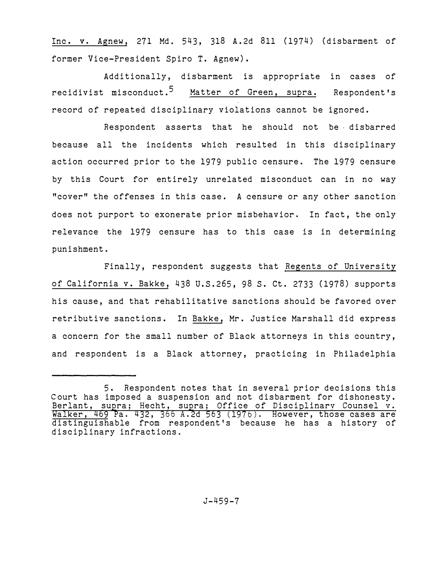Inc. *v.* Agnew, 271 Md. 543, 318 A.2d 811 (1974) (disbarment of former Vice-President Spiro T. Agnew).

Additionally, disbarment is appropriate in cases of recidivist misconduct.<sup>5</sup> Matter of Green, supra. Respondent's record of repeated disciplinary violations cannot be ignored.

Respondent asserts that he should not be disbarred because all the incidents which resulted in this disciplinary action occurred prior to the 1979 public censure. The 1979 censure by this Court for entirely unrelated misconduct can in no way "cover" the offenses in this case. A censure or any other sanction does not purport to exonerate prior misbehavior. In fact, the only relevance the 1979 censure has to this case is in determining punishment.

Finally, respondent suggests that Regents of University of California v. Bakke, 438 U.S.265, 98 S. Ct. 2733 (1978) supports his cause, and that rehabilitative sanctions should be favored over retributive sanctions. In Bakke, Mr. Justice Marshall did express a concern for the small number of Black attorneys in this country, and respondent is a Black attorney, practicing in Philadelphia

<sup>5.</sup> Respondent notes that in several prior decisions this Court has imposed a suspension and not disbarment for dishonesty. Berlant, supra; Hecht, supra; Office of Disciplinary Counsel v. <u>Walker, 469</u> Pa. 432, 366 A.2d 563 (1976). However, those cases are distinguishable from respondent's because he has a history of disciplinary infractions.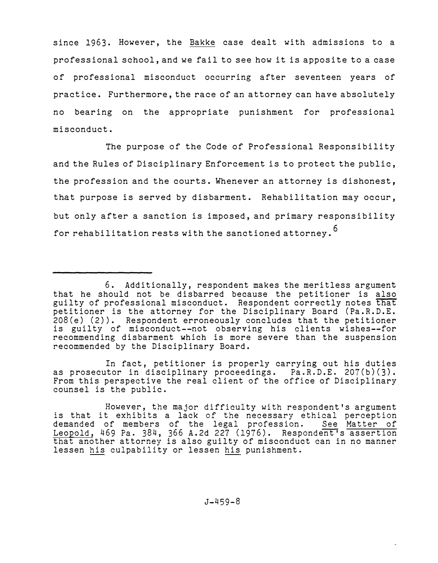since 1963. However, the Bakke case dealt with admissions to a professional school, and we fail to see how it is apposite to a case of professional misconduct occurring after seventeen years of practice. Furthermore, the race of an attorney can have absolutely no bearing on the appropriate punishment for professional misconduct.

The purpose of the Code of Professional Responsibility and the Rules of Disciplinary Enforcement is to protect the public, the profession and the courts. Whenever an attorney is dishonest, that purpose is served by disbarment. Rehabilitation may occur, but only after a sanction is imposed, and primary responsibility for rehabilitation rests with the sanctioned attorney.<sup>6</sup>

In fact, petitioner is properly carrying out his duties as prosecutor in disciplinary proceedings. Pa.R.D.E. 207(b)(3). From this perspective the real client of the office of Disciplinary counsel is the public.

<sup>6.</sup> Additionally, respondent makes the meritless argument that he should not be disbarred because the petitioner is also guilty of professional misconduct. Respondent correctly notes that petitioner is the attorney for the Disciplinary Board (Pa.R.D.E. 208(e) (2)). Respondent erroneously concludes that the petitioner is guilty of misconduct--not observing his clients wishes--for recommending disbarment which is more severe than the suspension recommended by the Disciplinary Board.

However, the major difficulty with respondent's argument is that it exhibits a lack of the necessary ethical perception<br>demanded of members of the legal profession. See Matter of demanded of members of the legal profession. See Matter of Leopold, 469 Pa. 384, 366 A.2d 227 (1976). Respondent's assertion that another attorney is also guilty of misconduct can in no manner lessen his culpability or lessen his punishment.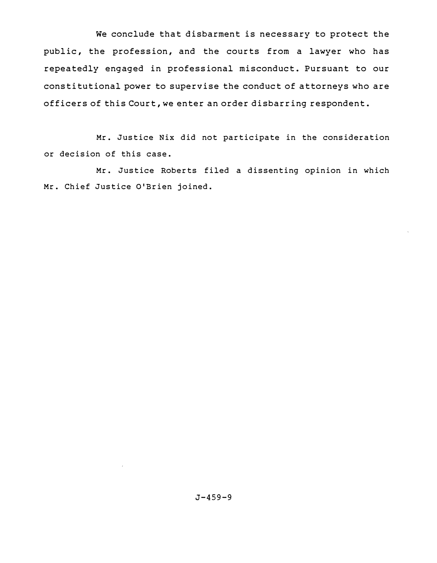We conclude that disbarment is necessary to protect the public, the profession, and the courts from a lawyer who has repeatedly engaged in professional misconduct. Pursuant to our constitutional power to supervise the conduct of attorneys who are officers of this Court, we enter an order disbarring respondent.

Mr. Justice Nix did not participate in the consideration or decision of this case.

Mr. Justice Roberts filed a dissenting opinion in which Mr. Chief Justice O'Brien joined.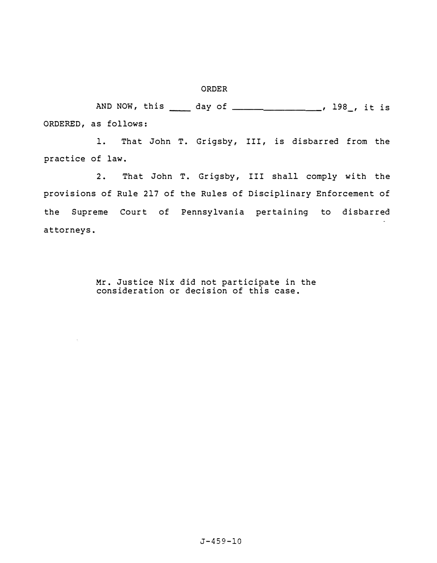### ORDER

AND NOW, this \_\_\_\_ day of \_\_\_\_\_\_\_\_\_\_\_\_\_\_\_\_\_, 198\_, it is ORDERED, as follows:

1. That John T. Grigsby, III, is disbarred from the practice of law.

2. That John T. Grigsby, III shall comply with the provisions of Rule 217 of the Rules of Disciplinary Enforcement of the Supreme Court of Pennsylvania pertaining to disbarred attorneys.

> Mr. Justice Nix did not participate in the consideration or decision of this case.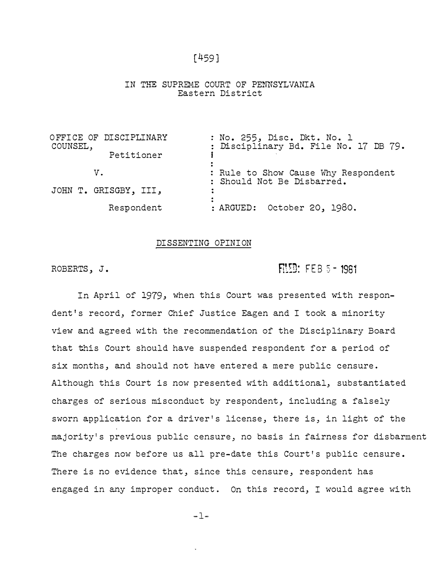[459]

### IN THE SUPREME COURT OF PENNSYLVANIA Eastern District

| OFFICE OF DISCIPLINARY<br>COUNSEL, | : No. 255, Disc. Dkt. No. 1<br>: Disciplinary Bd. File No. 17 DB 79. |
|------------------------------------|----------------------------------------------------------------------|
| Petitioner                         |                                                                      |
| V.                                 | : Rule to Show Cause Why Respondent<br>: Should Not Be Disbarred.    |
| JOHN T. GRISGBY, III,              |                                                                      |
| Respondent                         | : ARGUED: October 20, 1980.                                          |

## DISSENTING OPINION

ROBERTS, J. ROBERTS, J.

In April of 1979, when this Court was presented with respondent's record, former Chief Justice Eagen and I took a minority view and agreed with the recommendation of the Disciplinary Board that this Court should have suspended respondent for a period of six months, and should not have entered a mere public censure. Although this Court is now presented with additional, substantiated charges of serious misconduct by respondent, including a falsely sworn application for a driver's license, there is, in light of the majority's previous public censure, no basis in fairness for disbarment The charges now before us all pre-date this Court's public censure. There is no evidence that, since this censure, respondent has engaged in any improper conduct. On this record, I would agree with

 $-1-$